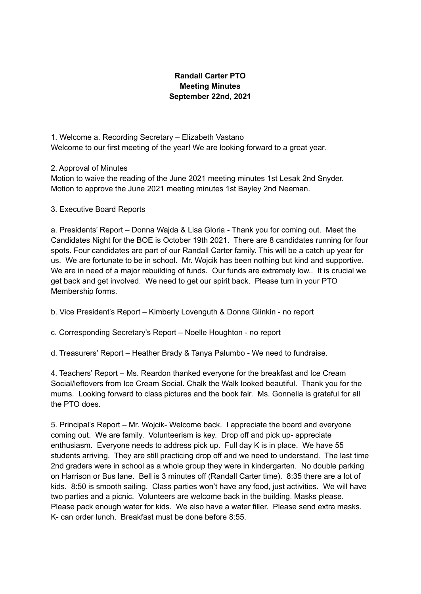## **Randall Carter PTO Meeting Minutes September 22nd, 2021**

1. Welcome a. Recording Secretary – Elizabeth Vastano Welcome to our first meeting of the year! We are looking forward to a great year.

2. Approval of Minutes

Motion to waive the reading of the June 2021 meeting minutes 1st Lesak 2nd Snyder. Motion to approve the June 2021 meeting minutes 1st Bayley 2nd Neeman.

3. Executive Board Reports

a. Presidents' Report – Donna Wajda & Lisa Gloria - Thank you for coming out. Meet the Candidates Night for the BOE is October 19th 2021. There are 8 candidates running for four spots. Four candidates are part of our Randall Carter family. This will be a catch up year for us. We are fortunate to be in school. Mr. Wojcik has been nothing but kind and supportive. We are in need of a major rebuilding of funds. Our funds are extremely low.. It is crucial we get back and get involved. We need to get our spirit back. Please turn in your PTO Membership forms.

b. Vice President's Report – Kimberly Lovenguth & Donna Glinkin - no report

c. Corresponding Secretary's Report – Noelle Houghton - no report

d. Treasurers' Report – Heather Brady & Tanya Palumbo - We need to fundraise.

4. Teachers' Report – Ms. Reardon thanked everyone for the breakfast and Ice Cream Social/leftovers from Ice Cream Social. Chalk the Walk looked beautiful. Thank you for the mums. Looking forward to class pictures and the book fair. Ms. Gonnella is grateful for all the PTO does.

5. Principal's Report – Mr. Wojcik- Welcome back. I appreciate the board and everyone coming out. We are family. Volunteerism is key. Drop off and pick up- appreciate enthusiasm. Everyone needs to address pick up. Full day K is in place. We have 55 students arriving. They are still practicing drop off and we need to understand. The last time 2nd graders were in school as a whole group they were in kindergarten. No double parking on Harrison or Bus lane. Bell is 3 minutes off (Randall Carter time). 8:35 there are a lot of kids. 8:50 is smooth sailing. Class parties won't have any food, just activities. We will have two parties and a picnic. Volunteers are welcome back in the building. Masks please. Please pack enough water for kids. We also have a water filler. Please send extra masks. K- can order lunch. Breakfast must be done before 8:55.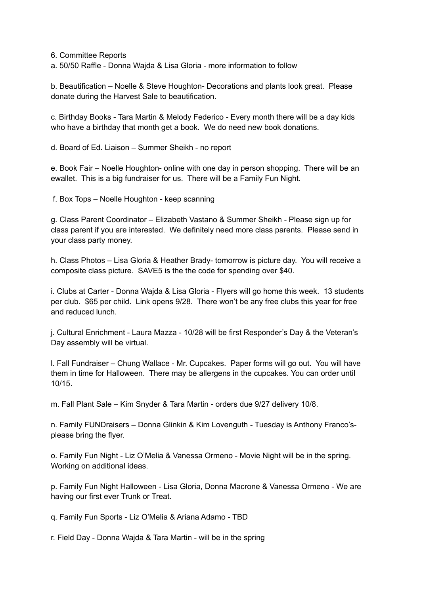6. Committee Reports

a. 50/50 Raffle - Donna Wajda & Lisa Gloria - more information to follow

b. Beautification – Noelle & Steve Houghton- Decorations and plants look great. Please donate during the Harvest Sale to beautification.

c. Birthday Books - Tara Martin & Melody Federico - Every month there will be a day kids who have a birthday that month get a book. We do need new book donations.

d. Board of Ed. Liaison – Summer Sheikh - no report

e. Book Fair – Noelle Houghton- online with one day in person shopping. There will be an ewallet. This is a big fundraiser for us. There will be a Family Fun Night.

f. Box Tops – Noelle Houghton - keep scanning

g. Class Parent Coordinator – Elizabeth Vastano & Summer Sheikh - Please sign up for class parent if you are interested. We definitely need more class parents. Please send in your class party money.

h. Class Photos – Lisa Gloria & Heather Brady- tomorrow is picture day. You will receive a composite class picture. SAVE5 is the the code for spending over \$40.

i. Clubs at Carter - Donna Wajda & Lisa Gloria - Flyers will go home this week. 13 students per club. \$65 per child. Link opens 9/28. There won't be any free clubs this year for free and reduced lunch.

j. Cultural Enrichment - Laura Mazza - 10/28 will be first Responder's Day & the Veteran's Day assembly will be virtual.

l. Fall Fundraiser – Chung Wallace - Mr. Cupcakes. Paper forms will go out. You will have them in time for Halloween. There may be allergens in the cupcakes. You can order until 10/15.

m. Fall Plant Sale – Kim Snyder & Tara Martin - orders due 9/27 delivery 10/8.

n. Family FUNDraisers – Donna Glinkin & Kim Lovenguth - Tuesday is Anthony Franco'splease bring the flyer.

o. Family Fun Night - Liz O'Melia & Vanessa Ormeno - Movie Night will be in the spring. Working on additional ideas.

p. Family Fun Night Halloween - Lisa Gloria, Donna Macrone & Vanessa Ormeno - We are having our first ever Trunk or Treat.

q. Family Fun Sports - Liz O'Melia & Ariana Adamo - TBD

r. Field Day - Donna Wajda & Tara Martin - will be in the spring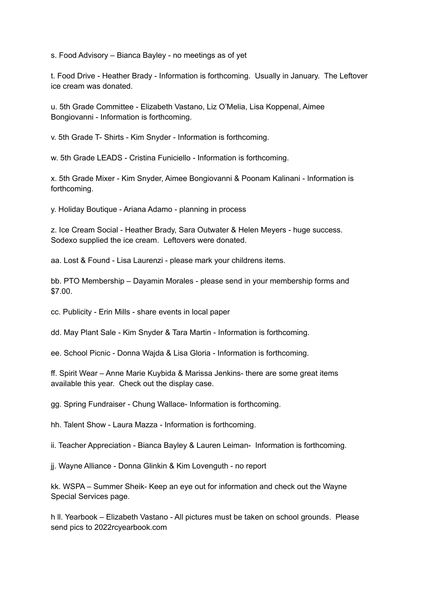s. Food Advisory – Bianca Bayley - no meetings as of yet

t. Food Drive - Heather Brady - Information is forthcoming. Usually in January. The Leftover ice cream was donated.

u. 5th Grade Committee - Elizabeth Vastano, Liz O'Melia, Lisa Koppenal, Aimee Bongiovanni - Information is forthcoming.

v. 5th Grade T- Shirts - Kim Snyder - Information is forthcoming.

w. 5th Grade LEADS - Cristina Funiciello - Information is forthcoming.

x. 5th Grade Mixer - Kim Snyder, Aimee Bongiovanni & Poonam Kalinani - Information is forthcoming.

y. Holiday Boutique - Ariana Adamo - planning in process

z. Ice Cream Social - Heather Brady, Sara Outwater & Helen Meyers - huge success. Sodexo supplied the ice cream. Leftovers were donated.

aa. Lost & Found - Lisa Laurenzi - please mark your childrens items.

bb. PTO Membership – Dayamin Morales - please send in your membership forms and \$7.00.

cc. Publicity - Erin Mills - share events in local paper

dd. May Plant Sale - Kim Snyder & Tara Martin - Information is forthcoming.

ee. School Picnic - Donna Wajda & Lisa Gloria - Information is forthcoming.

ff. Spirit Wear – Anne Marie Kuybida & Marissa Jenkins- there are some great items available this year. Check out the display case.

gg. Spring Fundraiser - Chung Wallace- Information is forthcoming.

hh. Talent Show - Laura Mazza - Information is forthcoming.

ii. Teacher Appreciation - Bianca Bayley & Lauren Leiman- Information is forthcoming.

jj. Wayne Alliance - Donna Glinkin & Kim Lovenguth - no report

kk. WSPA – Summer Sheik- Keep an eye out for information and check out the Wayne Special Services page.

h ll. Yearbook – Elizabeth Vastano - All pictures must be taken on school grounds. Please send pics to 2022rcyearbook.com